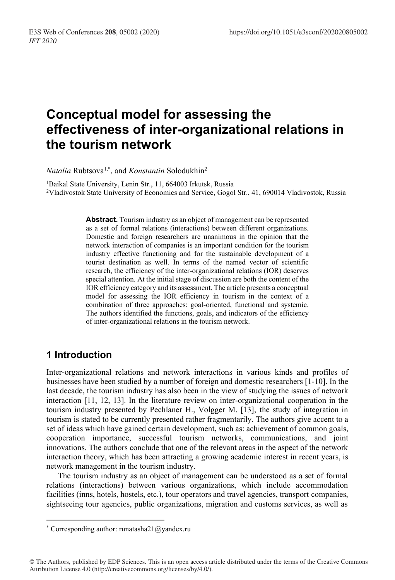# **Conceptual model for assessing the effectiveness of inter-organizational relations in the tourism network**

*Natalia* Rubtsova1,*\* ,* and *Konstantin* Solodukhin2

<sup>1</sup>Baikal State University, Lenin Str., 11, 664003 Irkutsk, Russia 2Vladivostok State University of Economics and Service, Gogol Str., 41, 690014 Vladivostok, Russia

> **Abstract.** Tourism industry as an object of management can be represented as a set of formal relations (interactions) between different organizations. Domestic and foreign researchers are unanimous in the opinion that the network interaction of companies is an important condition for the tourism industry effective functioning and for the sustainable development of a tourist destination as well. In terms of the named vector of scientific research, the efficiency of the inter-organizational relations (IOR) deserves special attention. At the initial stage of discussion are both the content of the IOR efficiency category and its assessment. The article presents a conceptual model for assessing the IOR efficiency in tourism in the context of a combination of three approaches: goal-oriented, functional and systemic. The authors identified the functions, goals, and indicators of the efficiency of inter-organizational relations in the tourism network.

## **1 Introduction**

Inter-organizational relations and network interactions in various kinds and profiles of businesses have been studied by a number of foreign and domestic researchers [1-10]. In the last decade, the tourism industry has also been in the view of studying the issues of network interaction [11, 12, 13]. In the literature review on inter-organizational cooperation in the tourism industry presented by Pechlaner H., Volgger M. [13], the study of integration in tourism is stated to be currently presented rather fragmentarily. The authors give accent to a set of ideas which have gained certain development, such as: achievement of common goals, cooperation importance, successful tourism networks, communications, and joint innovations. The authors conclude that one of the relevant areas in the aspect of the network interaction theory, which has been attracting a growing academic interest in recent years, is network management in the tourism industry.

The tourism industry as an object of management can be understood as a set of formal relations (interactions) between various organizations, which include accommodation facilities (inns, hotels, hostels, etc.), tour operators and travel agencies, transport companies, sightseeing tour agencies, public organizations, migration and customs services, as well as

<sup>\*</sup> Corresponding author: runatasha21@yandex.ru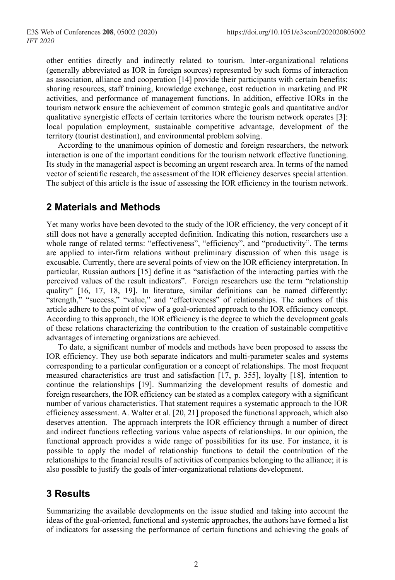other entities directly and indirectly related to tourism. Inter-organizational relations (generally abbreviated as IOR in foreign sources) represented by such forms of interaction as association, alliance and cooperation [14] provide their participants with certain benefits: sharing resources, staff training, knowledge exchange, cost reduction in marketing and PR activities, and performance of management functions. In addition, effective IORs in the tourism network ensure the achievement of common strategic goals and quantitative and/or qualitative synergistic effects of certain territories where the tourism network operates [3]: local population employment, sustainable competitive advantage, development of the territory (tourist destination), and environmental problem solving.

According to the unanimous opinion of domestic and foreign researchers, the network interaction is one of the important conditions for the tourism network effective functioning. Its study in the managerial aspect is becoming an urgent research area. In terms of the named vector of scientific research, the assessment of the IOR efficiency deserves special attention. The subject of this article is the issue of assessing the IOR efficiency in the tourism network.

## **2 Materials and Methods**

Yet many works have been devoted to the study of the IOR efficiency, the very concept of it still does not have a generally accepted definition. Indicating this notion, researchers use a whole range of related terms: "effectiveness", "efficiency", and "productivity". The terms are applied to inter-firm relations without preliminary discussion of when this usage is excusable. Currently, there are several points of view on the IOR efficiency interpretation. In particular, Russian authors [15] define it as "satisfaction of the interacting parties with the perceived values of the result indicators". Foreign researchers use the term "relationship quality" [16, 17, 18, 19]. In literature, similar definitions can be named differently: "strength," "success," "value," and "effectiveness" of relationships. The authors of this article adhere to the point of view of a goal-oriented approach to the IOR efficiency concept. According to this approach, the IOR efficiency is the degree to which the development goals of these relations characterizing the contribution to the creation of sustainable competitive advantages of interacting organizations are achieved.

To date, a significant number of models and methods have been proposed to assess the IOR efficiency. They use both separate indicators and multi-parameter scales and systems corresponding to a particular configuration or a concept of relationships. The most frequent measured characteristics are trust and satisfaction [17, p. 355], loyalty [18], intention to continue the relationships [19]. Summarizing the development results of domestic and foreign researchers, the IOR efficiency can be stated as a complex category with a significant number of various characteristics. That statement requires a systematic approach to the IOR efficiency assessment. A. Walter et al. [20, 21] proposed the functional approach, which also deserves attention. The approach interprets the IOR efficiency through a number of direct and indirect functions reflecting various value aspects of relationships. In our opinion, the functional approach provides a wide range of possibilities for its use. For instance, it is possible to apply the model of relationship functions to detail the contribution of the relationships to the financial results of activities of companies belonging to the alliance; it is also possible to justify the goals of inter-organizational relations development.

# **3 Results**

Summarizing the available developments on the issue studied and taking into account the ideas of the goal-oriented, functional and systemic approaches, the authors have formed a list of indicators for assessing the performance of certain functions and achieving the goals of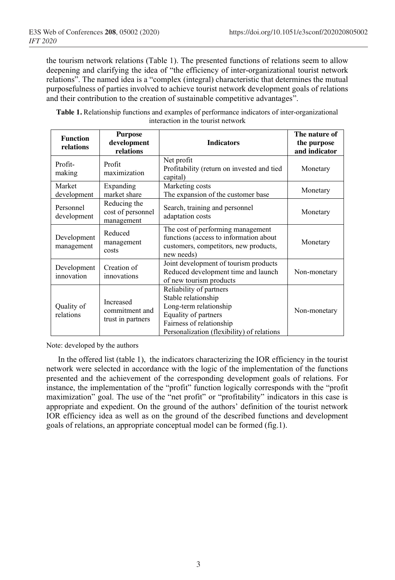the tourism network relations (Table 1). The presented functions of relations seem to allow deepening and clarifying the idea of "the efficiency of inter-organizational tourist network relations". The named idea is a "complex (integral) characteristic that determines the mutual purposefulness of parties involved to achieve tourist network development goals of relations and their contribution to the creation of sustainable competitive advantages".

| <b>Table 1.</b> Relationship functions and examples of performance indicators of inter-organizational |  |  |  |
|-------------------------------------------------------------------------------------------------------|--|--|--|
| interaction in the tourist network                                                                    |  |  |  |

| <b>Function</b><br>relations | <b>Purpose</b><br>development<br>relations       | <b>Indicators</b>                                                                                                                                                          | The nature of<br>the purpose<br>and indicator |
|------------------------------|--------------------------------------------------|----------------------------------------------------------------------------------------------------------------------------------------------------------------------------|-----------------------------------------------|
| Profit-<br>making            | Profit<br>maximization                           | Net profit<br>Profitability (return on invested and tied<br>capital)                                                                                                       | Monetary                                      |
| Market<br>development        | Expanding<br>market share                        | Marketing costs<br>The expansion of the customer base                                                                                                                      | Monetary                                      |
| Personnel<br>development     | Reducing the<br>cost of personnel<br>management  | Search, training and personnel<br>adaptation costs                                                                                                                         | Monetary                                      |
| Development<br>management    | Reduced<br>management<br>costs                   | The cost of performing management<br>functions (access to information about<br>customers, competitors, new products,<br>new needs)                                         | Monetary                                      |
| Development<br>innovation    | Creation of<br>innovations                       | Joint development of tourism products<br>Reduced development time and launch<br>of new tourism products                                                                    | Non-monetary                                  |
| Quality of<br>relations      | Increased<br>commitment and<br>trust in partners | Reliability of partners<br>Stable relationship<br>Long-term relationship<br>Equality of partners<br>Fairness of relationship<br>Personalization (flexibility) of relations | Non-monetary                                  |

Note: developed by the authors

In the offered list (table 1), the indicators characterizing the IOR efficiency in the tourist network were selected in accordance with the logic of the implementation of the functions presented and the achievement of the corresponding development goals of relations. For instance, the implementation of the "profit" function logically corresponds with the "profit maximization" goal. The use of the "net profit" or "profitability" indicators in this case is appropriate and expedient. On the ground of the authors' definition of the tourist network IOR efficiency idea as well as on the ground of the described functions and development goals of relations, an appropriate conceptual model can be formed (fig.1).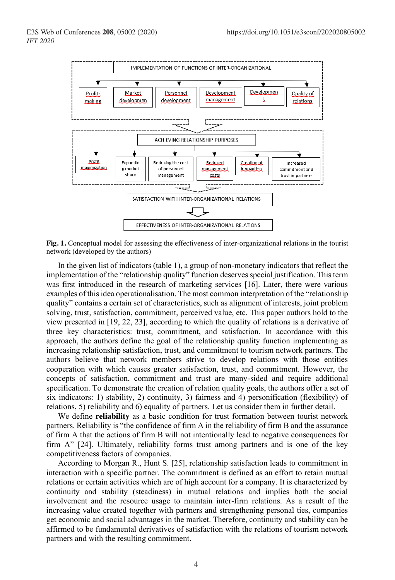

**Fig. 1.** Conceptual model for assessing the effectiveness of inter-organizational relations in the tourist network (developed by the authors)

In the given list of indicators (table 1), a group of non-monetary indicators that reflect the implementation of the "relationship quality" function deserves special justification. This term was first introduced in the research of marketing services [16]. Later, there were various examples of this idea operationalisation. The most common interpretation of the "relationship quality" contains a certain set of characteristics, such as alignment of interests, joint problem solving, trust, satisfaction, commitment, perceived value, etc. This paper authors hold to the view presented in [19, 22, 23], according to which the quality of relations is a derivative of three key characteristics: trust, commitment, and satisfaction. In accordance with this approach, the authors define the goal of the relationship quality function implementing as increasing relationship satisfaction, trust, and commitment to tourism network partners. The authors believe that network members strive to develop relations with those entities cooperation with which causes greater satisfaction, trust, and commitment. However, the concepts of satisfaction, commitment and trust are many-sided and require additional specification. To demonstrate the creation of relation quality goals, the authors offer a set of six indicators: 1) stability, 2) continuity, 3) fairness and 4) personification (flexibility) of relations, 5) reliability and 6) equality of partners. Let us consider them in further detail.

We define **reliability** as a basic condition for trust formation between tourist network partners. Reliability is "the confidence of firm A in the reliability of firm B and the assurance of firm A that the actions of firm B will not intentionally lead to negative consequences for firm A" [24]. Ultimately, reliability forms trust among partners and is one of the key competitiveness factors of companies.

According to Morgan R., Hunt S. [25], relationship satisfaction leads to commitment in interaction with a specific partner. The commitment is defined as an effort to retain mutual relations or certain activities which are of high account for a company. It is characterized by continuity and stability (steadiness) in mutual relations and implies both the social involvement and the resource usage to maintain inter-firm relations. As a result of the increasing value created together with partners and strengthening personal ties, companies get economic and social advantages in the market. Therefore, continuity and stability can be affirmed to be fundamental derivatives of satisfaction with the relations of tourism network partners and with the resulting commitment.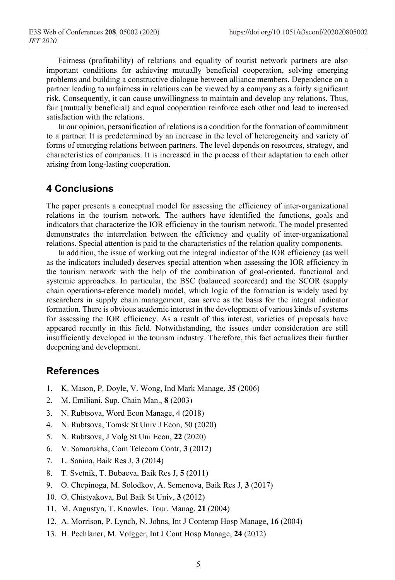Fairness (profitability) of relations and equality of tourist network partners are also important conditions for achieving mutually beneficial cooperation, solving emerging problems and building a constructive dialogue between alliance members. Dependence on a partner leading to unfairness in relations can be viewed by a company as a fairly significant risk. Consequently, it can cause unwillingness to maintain and develop any relations. Thus, fair (mutually beneficial) and equal cooperation reinforce each other and lead to increased satisfaction with the relations.

In our opinion, personification of relations is a condition for the formation of commitment to a partner. It is predetermined by an increase in the level of heterogeneity and variety of forms of emerging relations between partners. The level depends on resources, strategy, and characteristics of companies. It is increased in the process of their adaptation to each other arising from long-lasting cooperation.

### **4 Conclusions**

The paper presents a conceptual model for assessing the efficiency of inter-organizational relations in the tourism network. The authors have identified the functions, goals and indicators that characterize the IOR efficiency in the tourism network. The model presented demonstrates the interrelation between the efficiency and quality of inter-organizational relations. Special attention is paid to the characteristics of the relation quality components.

In addition, the issue of working out the integral indicator of the IOR efficiency (as well as the indicators included) deserves special attention when assessing the IOR efficiency in the tourism network with the help of the combination of goal-oriented, functional and systemic approaches. In particular, the BSC (balanced scorecard) and the SCOR (supply chain operations-reference model) model, which logic of the formation is widely used by researchers in supply chain management, can serve as the basis for the integral indicator formation. There is obvious academic interest in the development of various kinds of systems for assessing the IOR efficiency. As a result of this interest, varieties of proposals have appeared recently in this field. Notwithstanding, the issues under consideration are still insufficiently developed in the tourism industry. Therefore, this fact actualizes their further deepening and development.

### **References**

- 1. K. Mason, P. Doyle, V. Wong, Ind Mark Manage, **35** (2006)
- 2. M. Emiliani, Sup. Chain Man., **8** (2003)
- 3. N. Rubtsova, Word Econ Manage, 4 (2018)
- 4. N. Rubtsova, Tomsk St Univ J Econ, 50 (2020)
- 5. N. Rubtsova, J Volg St Uni Econ, **22** (2020)
- 6. V. Samarukha, Com Telecom Contr, **3** (2012)
- 7. L. Sanina, Baik Res J, **3** (2014)
- 8. T. Svetnik, T. Bubaeva, Baik Res J, **5** (2011)
- 9. O. Chepinoga, M. Solodkov, A. Semenova, Baik Res J, **3** (2017)
- 10. O. Chistyakova, Bul Baik St Univ, **3** (2012)
- 11. M. Augustyn, T. Knowles, Tour. Manag. **21** (2004)
- 12. A. Morrison, P. Lynch, N. Johns, Int J Contemp Hosp Manage, **16** (2004)
- 13. H. Pechlaner, M. Volgger, Int J Cont Hosp Manage, **24** (2012)